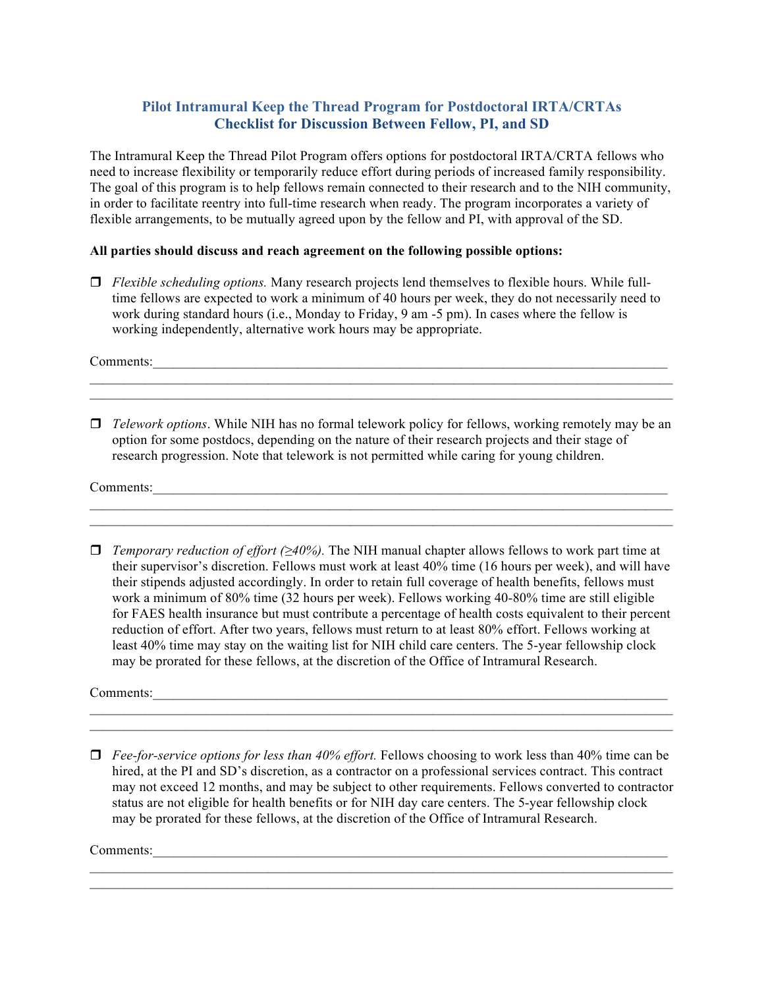## **Pilot Intramural Keep the Thread Program for Postdoctoral IRTA/CRTAs Checklist for Discussion Between Fellow, PI, and SD**

The Intramural Keep the Thread Pilot Program offers options for postdoctoral IRTA/CRTA fellows who need to increase flexibility or temporarily reduce effort during periods of increased family responsibility. The goal of this program is to help fellows remain connected to their research and to the NIH community, in order to facilitate reentry into full-time research when ready. The program incorporates a variety of flexible arrangements, to be mutually agreed upon by the fellow and PI, with approval of the SD.

## **All parties should discuss and reach agreement on the following possible options:**

 $\Box$  *Flexible scheduling options.* Many research projects lend themselves to flexible hours. While fulltime fellows are expected to work a minimum of 40 hours per week, they do not necessarily need to work during standard hours (i.e., Monday to Friday, 9 am -5 pm). In cases where the fellow is working independently, alternative work hours may be appropriate.

Comments:\_\_\_\_\_\_\_\_\_\_\_\_\_\_\_\_\_\_\_\_\_\_\_\_\_\_\_\_\_\_\_\_\_\_\_\_\_\_\_\_\_\_\_\_\_\_\_\_\_\_\_\_\_\_\_\_\_\_\_\_\_\_\_\_\_\_\_\_\_\_\_\_\_\_\_

*<u>Telework options</u>*. While NIH has no formal telework policy for fellows, working remotely may be an option for some postdocs, depending on the nature of their research projects and their stage of research progression. Note that telework is not permitted while caring for young children.

 $\mathcal{L}_\text{max} = \mathcal{L}_\text{max} = \mathcal{L}_\text{max} = \mathcal{L}_\text{max} = \mathcal{L}_\text{max} = \mathcal{L}_\text{max} = \mathcal{L}_\text{max} = \mathcal{L}_\text{max} = \mathcal{L}_\text{max} = \mathcal{L}_\text{max} = \mathcal{L}_\text{max} = \mathcal{L}_\text{max} = \mathcal{L}_\text{max} = \mathcal{L}_\text{max} = \mathcal{L}_\text{max} = \mathcal{L}_\text{max} = \mathcal{L}_\text{max} = \mathcal{L}_\text{max} = \mathcal{$  $\mathcal{L}_\text{max} = \mathcal{L}_\text{max} = \mathcal{L}_\text{max} = \mathcal{L}_\text{max} = \mathcal{L}_\text{max} = \mathcal{L}_\text{max} = \mathcal{L}_\text{max} = \mathcal{L}_\text{max} = \mathcal{L}_\text{max} = \mathcal{L}_\text{max} = \mathcal{L}_\text{max} = \mathcal{L}_\text{max} = \mathcal{L}_\text{max} = \mathcal{L}_\text{max} = \mathcal{L}_\text{max} = \mathcal{L}_\text{max} = \mathcal{L}_\text{max} = \mathcal{L}_\text{max} = \mathcal{$ 

 $\mathcal{L}_\text{max} = \mathcal{L}_\text{max} = \mathcal{L}_\text{max} = \mathcal{L}_\text{max} = \mathcal{L}_\text{max} = \mathcal{L}_\text{max} = \mathcal{L}_\text{max} = \mathcal{L}_\text{max} = \mathcal{L}_\text{max} = \mathcal{L}_\text{max} = \mathcal{L}_\text{max} = \mathcal{L}_\text{max} = \mathcal{L}_\text{max} = \mathcal{L}_\text{max} = \mathcal{L}_\text{max} = \mathcal{L}_\text{max} = \mathcal{L}_\text{max} = \mathcal{L}_\text{max} = \mathcal{$ 

Comments:\_\_\_\_\_\_\_\_\_\_\_\_\_\_\_\_\_\_\_\_\_\_\_\_\_\_\_\_\_\_\_\_\_\_\_\_\_\_\_\_\_\_\_\_\_\_\_\_\_\_\_\_\_\_\_\_\_\_\_\_\_\_\_\_\_\_\_\_\_\_\_\_\_\_\_

 $\Box$  *Temporary reduction of effort* (≥40%). The NIH manual chapter allows fellows to work part time at their supervisor's discretion. Fellows must work at least 40% time (16 hours per week), and will have their stipends adjusted accordingly. In order to retain full coverage of health benefits, fellows must work a minimum of 80% time (32 hours per week). Fellows working 40-80% time are still eligible for FAES health insurance but must contribute a percentage of health costs equivalent to their percent reduction of effort. After two years, fellows must return to at least 80% effort. Fellows working at least 40% time may stay on the waiting list for NIH child care centers. The 5-year fellowship clock may be prorated for these fellows, at the discretion of the Office of Intramural Research.

Comments:

□ *Fee-for-service options for less than 40% effort*. Fellows choosing to work less than 40% time can be hired, at the PI and SD's discretion, as a contractor on a professional services contract. This contract may not exceed 12 months, and may be subject to other requirements. Fellows converted to contractor status are not eligible for health benefits or for NIH day care centers. The 5-year fellowship clock may be prorated for these fellows, at the discretion of the Office of Intramural Research.

 $\mathcal{L}_\text{max}$  , and the contract of the contract of the contract of the contract of the contract of the contract of the contract of the contract of the contract of the contract of the contract of the contract of the contr

Comments: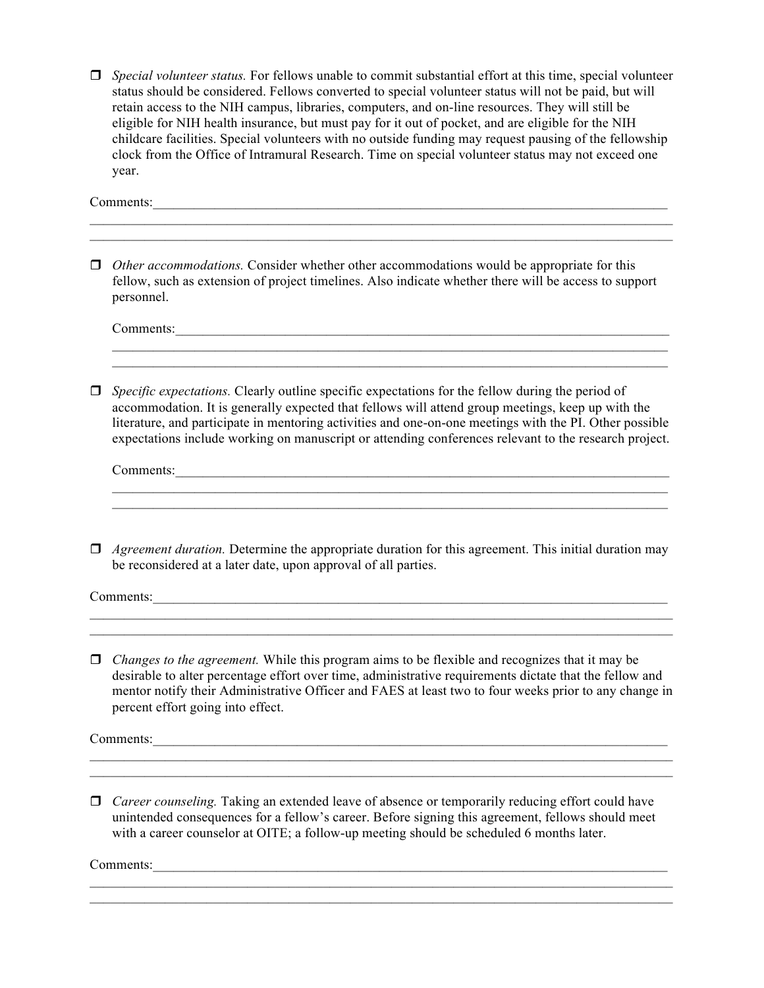r *Special volunteer status.* For fellows unable to commit substantial effort at this time, special volunteer status should be considered. Fellows converted to special volunteer status will not be paid, but will retain access to the NIH campus, libraries, computers, and on-line resources. They will still be eligible for NIH health insurance, but must pay for it out of pocket, and are eligible for the NIH childcare facilities. Special volunteers with no outside funding may request pausing of the fellowship clock from the Office of Intramural Research. Time on special volunteer status may not exceed one year.

Comments:

*Other accommodations.* Consider whether other accommodations would be appropriate for this fellow, such as extension of project timelines. Also indicate whether there will be access to support personnel.

 $\mathcal{L}_\text{max} = \mathcal{L}_\text{max} = \mathcal{L}_\text{max} = \mathcal{L}_\text{max} = \mathcal{L}_\text{max} = \mathcal{L}_\text{max} = \mathcal{L}_\text{max} = \mathcal{L}_\text{max} = \mathcal{L}_\text{max} = \mathcal{L}_\text{max} = \mathcal{L}_\text{max} = \mathcal{L}_\text{max} = \mathcal{L}_\text{max} = \mathcal{L}_\text{max} = \mathcal{L}_\text{max} = \mathcal{L}_\text{max} = \mathcal{L}_\text{max} = \mathcal{L}_\text{max} = \mathcal{$  $\mathcal{L}_\text{max} = \mathcal{L}_\text{max} = \mathcal{L}_\text{max} = \mathcal{L}_\text{max} = \mathcal{L}_\text{max} = \mathcal{L}_\text{max} = \mathcal{L}_\text{max} = \mathcal{L}_\text{max} = \mathcal{L}_\text{max} = \mathcal{L}_\text{max} = \mathcal{L}_\text{max} = \mathcal{L}_\text{max} = \mathcal{L}_\text{max} = \mathcal{L}_\text{max} = \mathcal{L}_\text{max} = \mathcal{L}_\text{max} = \mathcal{L}_\text{max} = \mathcal{L}_\text{max} = \mathcal{$ 

Comments:\_\_\_\_\_\_\_\_\_\_\_\_\_\_\_\_\_\_\_\_\_\_\_\_\_\_\_\_\_\_\_\_\_\_\_\_\_\_\_\_\_\_\_\_\_\_\_\_\_\_\_\_\_\_\_\_\_\_\_\_\_\_\_\_\_\_\_\_\_\_\_\_

*<u>I</u> Specific expectations.* Clearly outline specific expectations for the fellow during the period of accommodation. It is generally expected that fellows will attend group meetings, keep up with the literature, and participate in mentoring activities and one-on-one meetings with the PI. Other possible expectations include working on manuscript or attending conferences relevant to the research project.

 $\mathcal{L}_\mathcal{L} = \{ \mathcal{L}_\mathcal{L} = \{ \mathcal{L}_\mathcal{L} = \{ \mathcal{L}_\mathcal{L} = \{ \mathcal{L}_\mathcal{L} = \{ \mathcal{L}_\mathcal{L} = \{ \mathcal{L}_\mathcal{L} = \{ \mathcal{L}_\mathcal{L} = \{ \mathcal{L}_\mathcal{L} = \{ \mathcal{L}_\mathcal{L} = \{ \mathcal{L}_\mathcal{L} = \{ \mathcal{L}_\mathcal{L} = \{ \mathcal{L}_\mathcal{L} = \{ \mathcal{L}_\mathcal{L} = \{ \mathcal{L}_\mathcal{$  $\mathcal{L}_\mathcal{L} = \{ \mathcal{L}_\mathcal{L} = \{ \mathcal{L}_\mathcal{L} = \{ \mathcal{L}_\mathcal{L} = \{ \mathcal{L}_\mathcal{L} = \{ \mathcal{L}_\mathcal{L} = \{ \mathcal{L}_\mathcal{L} = \{ \mathcal{L}_\mathcal{L} = \{ \mathcal{L}_\mathcal{L} = \{ \mathcal{L}_\mathcal{L} = \{ \mathcal{L}_\mathcal{L} = \{ \mathcal{L}_\mathcal{L} = \{ \mathcal{L}_\mathcal{L} = \{ \mathcal{L}_\mathcal{L} = \{ \mathcal{L}_\mathcal{$ 

 $\mathcal{L}_\text{max} = \mathcal{L}_\text{max} = \mathcal{L}_\text{max} = \mathcal{L}_\text{max} = \mathcal{L}_\text{max} = \mathcal{L}_\text{max} = \mathcal{L}_\text{max} = \mathcal{L}_\text{max} = \mathcal{L}_\text{max} = \mathcal{L}_\text{max} = \mathcal{L}_\text{max} = \mathcal{L}_\text{max} = \mathcal{L}_\text{max} = \mathcal{L}_\text{max} = \mathcal{L}_\text{max} = \mathcal{L}_\text{max} = \mathcal{L}_\text{max} = \mathcal{L}_\text{max} = \mathcal{$ 

Comments:\_\_\_\_\_\_\_\_\_\_\_\_\_\_\_\_\_\_\_\_\_\_\_\_\_\_\_\_\_\_\_\_\_\_\_\_\_\_\_\_\_\_\_\_\_\_\_\_\_\_\_\_\_\_\_\_\_\_\_\_\_\_\_\_\_\_\_\_\_\_\_\_

*Agreement duration.* Determine the appropriate duration for this agreement. This initial duration may be reconsidered at a later date, upon approval of all parties.

 $\mathcal{L}_\text{max}$  , and the contract of the contract of the contract of the contract of the contract of the contract of the contract of the contract of the contract of the contract of the contract of the contract of the contr  $\mathcal{L}_\mathcal{L} = \{ \mathcal{L}_\mathcal{L} = \{ \mathcal{L}_\mathcal{L} = \{ \mathcal{L}_\mathcal{L} = \{ \mathcal{L}_\mathcal{L} = \{ \mathcal{L}_\mathcal{L} = \{ \mathcal{L}_\mathcal{L} = \{ \mathcal{L}_\mathcal{L} = \{ \mathcal{L}_\mathcal{L} = \{ \mathcal{L}_\mathcal{L} = \{ \mathcal{L}_\mathcal{L} = \{ \mathcal{L}_\mathcal{L} = \{ \mathcal{L}_\mathcal{L} = \{ \mathcal{L}_\mathcal{L} = \{ \mathcal{L}_\mathcal{$ 

Comments:

 $\Box$  *Changes to the agreement.* While this program aims to be flexible and recognizes that it may be desirable to alter percentage effort over time, administrative requirements dictate that the fellow and mentor notify their Administrative Officer and FAES at least two to four weeks prior to any change in percent effort going into effect.

 $\mathcal{L}_\text{max} = \mathcal{L}_\text{max} = \mathcal{L}_\text{max} = \mathcal{L}_\text{max} = \mathcal{L}_\text{max} = \mathcal{L}_\text{max} = \mathcal{L}_\text{max} = \mathcal{L}_\text{max} = \mathcal{L}_\text{max} = \mathcal{L}_\text{max} = \mathcal{L}_\text{max} = \mathcal{L}_\text{max} = \mathcal{L}_\text{max} = \mathcal{L}_\text{max} = \mathcal{L}_\text{max} = \mathcal{L}_\text{max} = \mathcal{L}_\text{max} = \mathcal{L}_\text{max} = \mathcal{$  $\mathcal{L}_\mathcal{L} = \mathcal{L}_\mathcal{L} = \mathcal{L}_\mathcal{L} = \mathcal{L}_\mathcal{L} = \mathcal{L}_\mathcal{L} = \mathcal{L}_\mathcal{L} = \mathcal{L}_\mathcal{L} = \mathcal{L}_\mathcal{L} = \mathcal{L}_\mathcal{L} = \mathcal{L}_\mathcal{L} = \mathcal{L}_\mathcal{L} = \mathcal{L}_\mathcal{L} = \mathcal{L}_\mathcal{L} = \mathcal{L}_\mathcal{L} = \mathcal{L}_\mathcal{L} = \mathcal{L}_\mathcal{L} = \mathcal{L}_\mathcal{L}$ 

Comments:\_\_\_\_\_\_\_\_\_\_\_\_\_\_\_\_\_\_\_\_\_\_\_\_\_\_\_\_\_\_\_\_\_\_\_\_\_\_\_\_\_\_\_\_\_\_\_\_\_\_\_\_\_\_\_\_\_\_\_\_\_\_\_\_\_\_\_\_\_\_\_\_\_\_\_

□ *Career counseling.* Taking an extended leave of absence or temporarily reducing effort could have unintended consequences for a fellow's career. Before signing this agreement, fellows should meet with a career counselor at OITE; a follow-up meeting should be scheduled 6 months later.

 $\mathcal{L}_\text{max} = \mathcal{L}_\text{max} = \mathcal{L}_\text{max} = \mathcal{L}_\text{max} = \mathcal{L}_\text{max} = \mathcal{L}_\text{max} = \mathcal{L}_\text{max} = \mathcal{L}_\text{max} = \mathcal{L}_\text{max} = \mathcal{L}_\text{max} = \mathcal{L}_\text{max} = \mathcal{L}_\text{max} = \mathcal{L}_\text{max} = \mathcal{L}_\text{max} = \mathcal{L}_\text{max} = \mathcal{L}_\text{max} = \mathcal{L}_\text{max} = \mathcal{L}_\text{max} = \mathcal{$  $\mathcal{L}_\text{max} = \mathcal{L}_\text{max} = \mathcal{L}_\text{max} = \mathcal{L}_\text{max} = \mathcal{L}_\text{max} = \mathcal{L}_\text{max} = \mathcal{L}_\text{max} = \mathcal{L}_\text{max} = \mathcal{L}_\text{max} = \mathcal{L}_\text{max} = \mathcal{L}_\text{max} = \mathcal{L}_\text{max} = \mathcal{L}_\text{max} = \mathcal{L}_\text{max} = \mathcal{L}_\text{max} = \mathcal{L}_\text{max} = \mathcal{L}_\text{max} = \mathcal{L}_\text{max} = \mathcal{$ 

Comments:\_\_\_\_\_\_\_\_\_\_\_\_\_\_\_\_\_\_\_\_\_\_\_\_\_\_\_\_\_\_\_\_\_\_\_\_\_\_\_\_\_\_\_\_\_\_\_\_\_\_\_\_\_\_\_\_\_\_\_\_\_\_\_\_\_\_\_\_\_\_\_\_\_\_\_